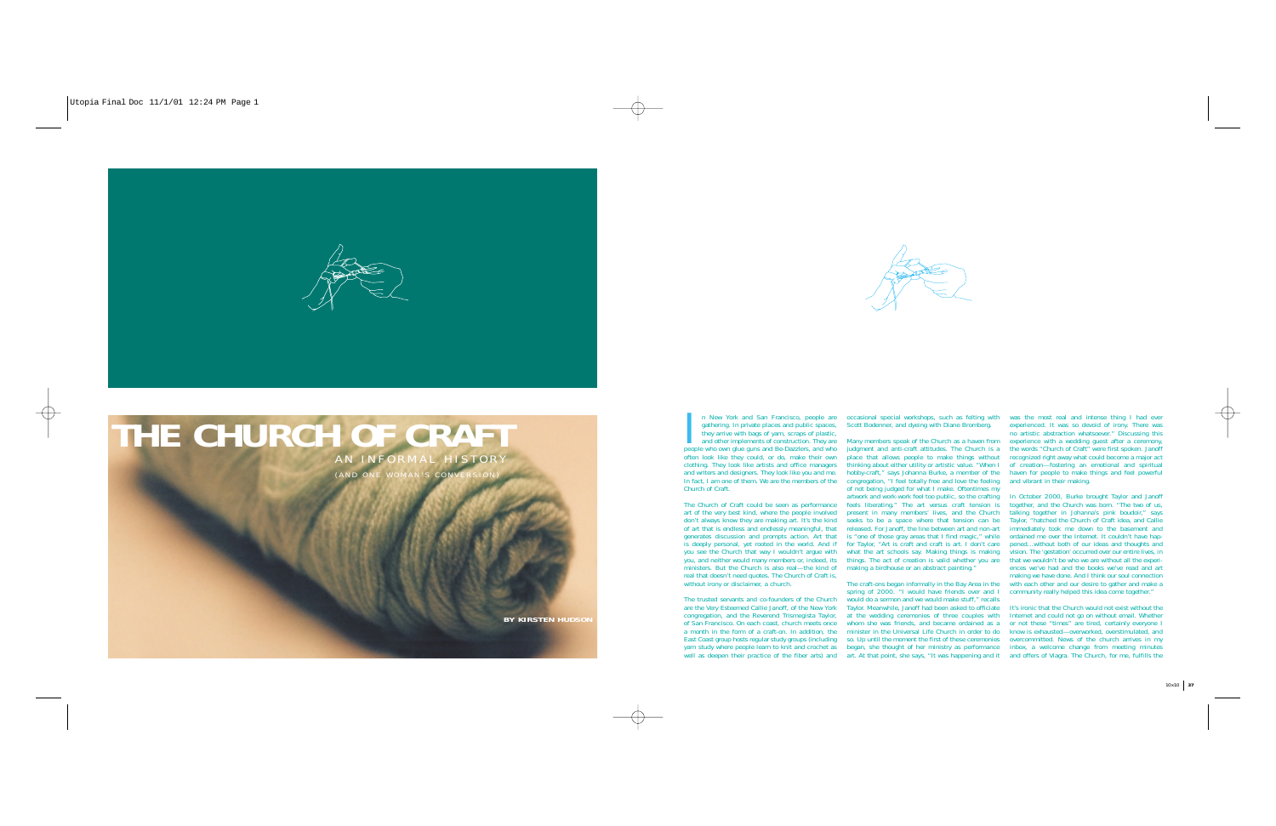gathering. In private places and public spaces, Scott Bodenner, and dyeing with Diane Bromberg. they arrive with bags of yarn, scraps of plastic, clothing. They look like artists and office managers

Church of Craft.

The trusted servants and co-founders of the Churchare the Very Esteemed Callie Janoff, of the New York Taylor. Meanwhile, Janoff had been asked to officiate It's ironic that the Church would not exist without the congregation, and the Reverend Trismegista Taylor, at the wedding ceremonies of three couples with Internet and could not go on without email. Whether of San Francisco. On each coast, church meets once vwhom she was friends, and became ordained as a vor not these "times" are tired, certainly everyone I a month in the form of a craft-on. In addition, the minister in the Universal Life Church in order to do know is exhausted—overworked, overstimulated, and East Coast group hosts regular study groups (including so. Up until the moment the first of these ceremonies overcommitted. News of the church arrives in my yarn study where people learn to knit and crochet as began, she thought of her ministry as performance inbox, a welcome change from meeting minutes well as deepen their practice of the fiber arts) and art. At that point, she says, "It was happening and it and offers of Viagra. The Church, for me, fulfills the

The Church of Craft could be seen as performance feels liberating." The art versus craft tension is art of the very best kind, where the people involved present in many members' lives, and the Church don't always know they are making art. It's the kind seeks to be a space where that tension can be of art that is endless and endlessly meaningful, that Treleased. For Janoff, the line between art and non-art generates discussion and prompts action. Art that is "one of those gray areas that I find magic," while is deeply personal, yet rooted in the world. And if for Taylor, "Art is craft and craft is art. I don't care you see the Church that way I wouldn't argue with what the art schools say. Making things is making ministers. But the Church is also real—the kind of making a birdhouse or an abstract painting." real that doesn't need quotes. The Church of Craft is, without irony or disclaimer, a church.

and writers and designers. They look like you and me. hobby-craft," says Johanna Burke, a member of the In fact, I am one of them. We are the members of the congregation, "I feel totally free and love the feeling and vibrant in their making. of not being judged for what I make. Oftentimes m artwork and work-work feel too public, so the crafting

> The craft-ons began informally in the Bay Area in the with each other and our desire to gather and make a spring of 2000. "I would have friends over and I community really helped this idea come together." would do a sermon and we would make stuff," recalls



n New York and San Francisco, people are occasional special workshops, such as felting with was the most real and intense thing I had ever and other implements of construction. They are Many members speak of the Church as a haven from experience with a wedding guest after a ceremony, people who own glue guns and Be-Dazzlers, and who judgment and anti-craft attitudes. The Church is a the words "Church of Craft" were first spoken. Janoff often look like they could, or do, make their own place that allows people to make things without recognized right away what could become a major act thinking about either utility or artistic value. "When I of creation—fostering an emotional and spiritual experienced. It was so devoid of irony. There was no artistic abstraction whatsoever." Discussing this haven for people to make things and feel powerful

you, and neither would many members or, indeed, its things. The act of creation is valid whether you are that we wouldn't be who we are without all the experi-In October 2000, Burke brought Taylor and Janoff together, and the Church was born. "The two of us, talking together in Johanna's pink boudoir," says Taylor, "hatched the Church of Craft idea, and Callie immediately took me down to the basement and ordained me over the Internet. It couldn't have happened…without both of our ideas and thoughts and vision. The 'gestation' occurred over our entire lives, in ences we've had and the books we've read and artmaking we have done. And I think our soul connection

I

AN INFORMAL HISTORY *(AND ONE WOMAN'S CONVERSION)*

**BY KIRSTEN HUDSO** 

10x10 **37**

Utopia Final Doc 11/1/01 12:24 PM Page 1



## **THE CHURCH OF CR**